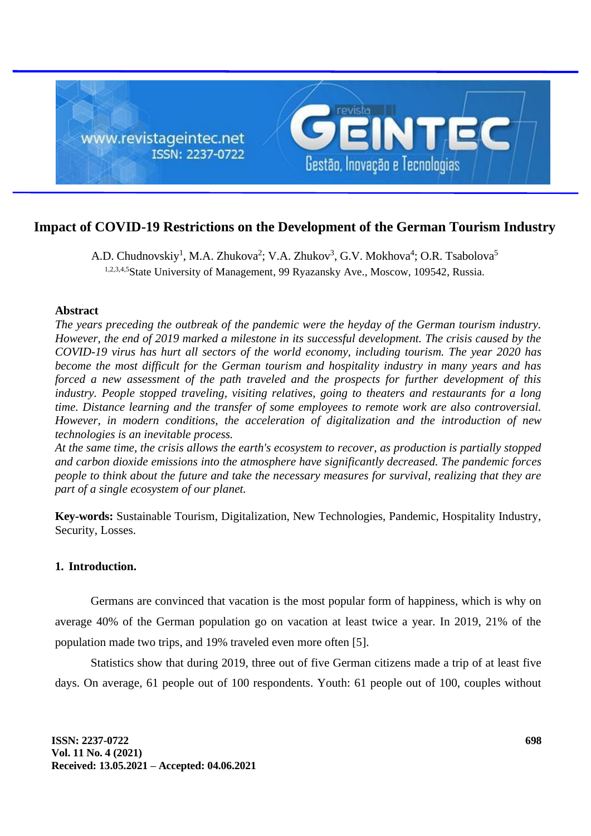

# **Impact of COVID-19 Restrictions on the Development of the German Tourism Industry**

A.D. Chudnovskiy<sup>1</sup>, M.A. Zhukova<sup>2</sup>; V.A. Zhukov<sup>3</sup>, G.V. Mokhova<sup>4</sup>; O.R. Tsabolova<sup>5</sup> 1,2,3,4,5State University of Management, 99 Ryazansky Ave., Moscow, 109542, Russia.

## **Abstract**

*The years preceding the outbreak of the pandemic were the heyday of the German tourism industry. However, the end of 2019 marked a milestone in its successful development. The crisis caused by the COVID-19 virus has hurt all sectors of the world economy, including tourism. The year 2020 has become the most difficult for the German tourism and hospitality industry in many years and has forced a new assessment of the path traveled and the prospects for further development of this industry. People stopped traveling, visiting relatives, going to theaters and restaurants for a long time. Distance learning and the transfer of some employees to remote work are also controversial. However, in modern conditions, the acceleration of digitalization and the introduction of new technologies is an inevitable process.*

*At the same time, the crisis allows the earth's ecosystem to recover, as production is partially stopped and carbon dioxide emissions into the atmosphere have significantly decreased. The pandemic forces people to think about the future and take the necessary measures for survival, realizing that they are part of a single ecosystem of our planet.*

**Key-words:** Sustainable Tourism, Digitalization, New Technologies, Pandemic, Hospitality Industry, Security, Losses.

## **1. Introduction.**

Germans are convinced that vacation is the most popular form of happiness, which is why on average 40% of the German population go on vacation at least twice a year. In 2019, 21% of the population made two trips, and 19% traveled even more often [5].

Statistics show that during 2019, three out of five German citizens made a trip of at least five days. On average, 61 people out of 100 respondents. Youth: 61 people out of 100, couples without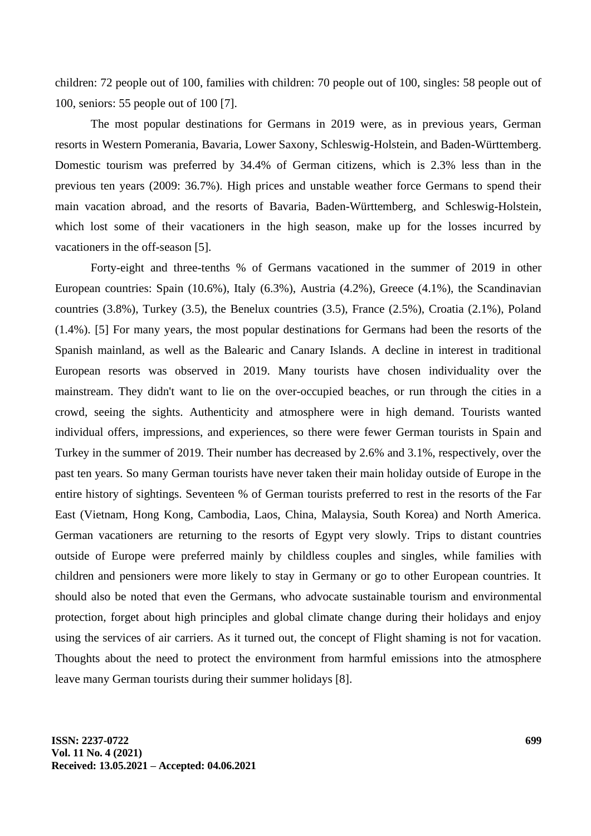children: 72 people out of 100, families with children: 70 people out of 100, singles: 58 people out of 100, seniors: 55 people out of 100 [7].

The most popular destinations for Germans in 2019 were, as in previous years, German resorts in Western Pomerania, Bavaria, Lower Saxony, Schleswig-Holstein, and Baden-Württemberg. Domestic tourism was preferred by 34.4% of German citizens, which is 2.3% less than in the previous ten years (2009: 36.7%). High prices and unstable weather force Germans to spend their main vacation abroad, and the resorts of Bavaria, Baden-Württemberg, and Schleswig-Holstein, which lost some of their vacationers in the high season, make up for the losses incurred by vacationers in the off-season [5].

Forty-eight and three-tenths % of Germans vacationed in the summer of 2019 in other European countries: Spain (10.6%), Italy (6.3%), Austria (4.2%), Greece (4.1%), the Scandinavian countries (3.8%), Turkey (3.5), the Benelux countries (3.5), France (2.5%), Croatia (2.1%), Poland (1.4%). [5] For many years, the most popular destinations for Germans had been the resorts of the Spanish mainland, as well as the Balearic and Canary Islands. A decline in interest in traditional European resorts was observed in 2019. Many tourists have chosen individuality over the mainstream. They didn't want to lie on the over-occupied beaches, or run through the cities in a crowd, seeing the sights. Authenticity and atmosphere were in high demand. Tourists wanted individual offers, impressions, and experiences, so there were fewer German tourists in Spain and Turkey in the summer of 2019. Their number has decreased by 2.6% and 3.1%, respectively, over the past ten years. So many German tourists have never taken their main holiday outside of Europe in the entire history of sightings. Seventeen % of German tourists preferred to rest in the resorts of the Far East (Vietnam, Hong Kong, Cambodia, Laos, China, Malaysia, South Korea) and North America. German vacationers are returning to the resorts of Egypt very slowly. Trips to distant countries outside of Europe were preferred mainly by childless couples and singles, while families with children and pensioners were more likely to stay in Germany or go to other European countries. It should also be noted that even the Germans, who advocate sustainable tourism and environmental protection, forget about high principles and global climate change during their holidays and enjoy using the services of air carriers. As it turned out, the concept of Flight shaming is not for vacation. Thoughts about the need to protect the environment from harmful emissions into the atmosphere leave many German tourists during their summer holidays [8].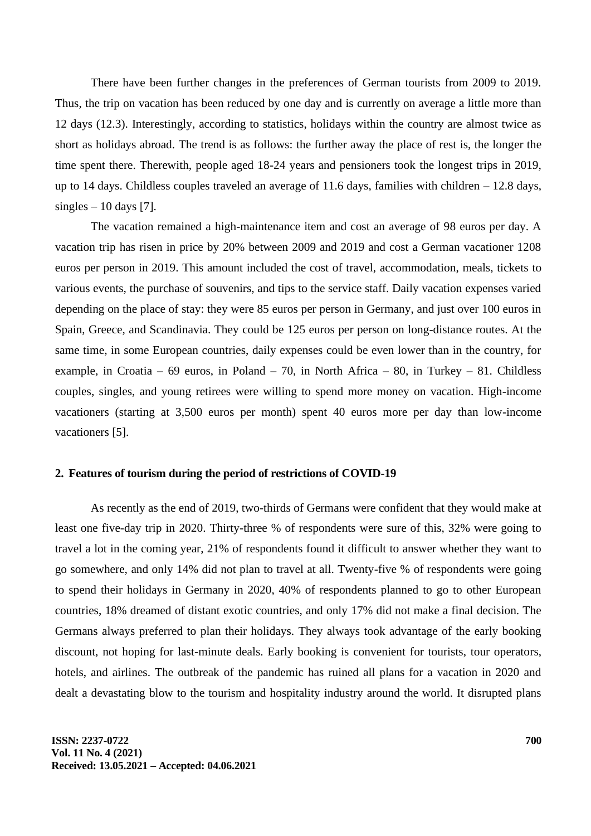There have been further changes in the preferences of German tourists from 2009 to 2019. Thus, the trip on vacation has been reduced by one day and is currently on average a little more than 12 days (12.3). Interestingly, according to statistics, holidays within the country are almost twice as short as holidays abroad. The trend is as follows: the further away the place of rest is, the longer the time spent there. Therewith, people aged 18-24 years and pensioners took the longest trips in 2019, up to 14 days. Childless couples traveled an average of 11.6 days, families with children  $-12.8$  days, singles  $-10$  days [7].

The vacation remained a high-maintenance item and cost an average of 98 euros per day. A vacation trip has risen in price by 20% between 2009 and 2019 and cost a German vacationer 1208 euros per person in 2019. This amount included the cost of travel, accommodation, meals, tickets to various events, the purchase of souvenirs, and tips to the service staff. Daily vacation expenses varied depending on the place of stay: they were 85 euros per person in Germany, and just over 100 euros in Spain, Greece, and Scandinavia. They could be 125 euros per person on long-distance routes. At the same time, in some European countries, daily expenses could be even lower than in the country, for example, in Croatia – 69 euros, in Poland – 70, in North Africa – 80, in Turkey – 81. Childless couples, singles, and young retirees were willing to spend more money on vacation. High-income vacationers (starting at 3,500 euros per month) spent 40 euros more per day than low-income vacationers [5].

#### **2. Features of tourism during the period of restrictions of COVID-19**

As recently as the end of 2019, two-thirds of Germans were confident that they would make at least one five-day trip in 2020. Thirty-three % of respondents were sure of this, 32% were going to travel a lot in the coming year, 21% of respondents found it difficult to answer whether they want to go somewhere, and only 14% did not plan to travel at all. Twenty-five % of respondents were going to spend their holidays in Germany in 2020, 40% of respondents planned to go to other European countries, 18% dreamed of distant exotic countries, and only 17% did not make a final decision. The Germans always preferred to plan their holidays. They always took advantage of the early booking discount, not hoping for last-minute deals. Early booking is convenient for tourists, tour operators, hotels, and airlines. The outbreak of the pandemic has ruined all plans for a vacation in 2020 and dealt a devastating blow to the tourism and hospitality industry around the world. It disrupted plans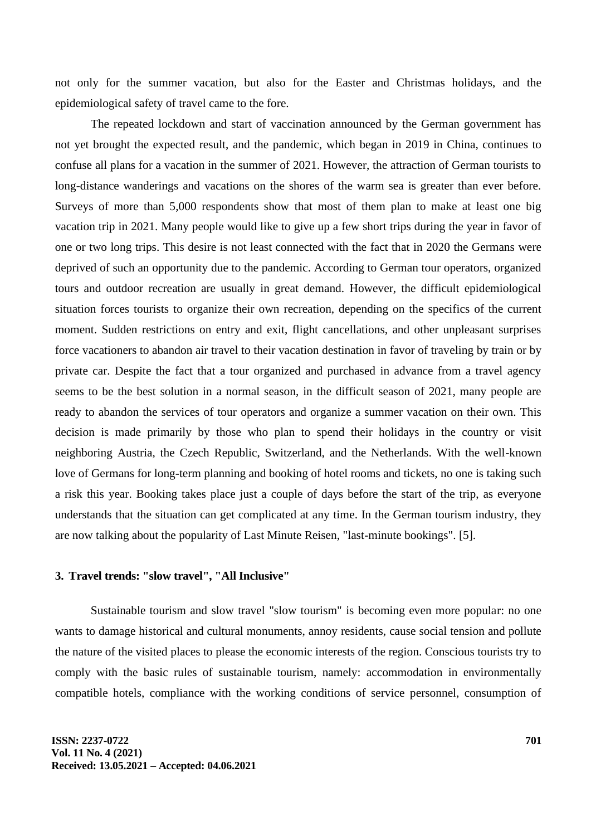not only for the summer vacation, but also for the Easter and Christmas holidays, and the epidemiological safety of travel came to the fore.

The repeated lockdown and start of vaccination announced by the German government has not yet brought the expected result, and the pandemic, which began in 2019 in China, continues to confuse all plans for a vacation in the summer of 2021. However, the attraction of German tourists to long-distance wanderings and vacations on the shores of the warm sea is greater than ever before. Surveys of more than 5,000 respondents show that most of them plan to make at least one big vacation trip in 2021. Many people would like to give up a few short trips during the year in favor of one or two long trips. This desire is not least connected with the fact that in 2020 the Germans were deprived of such an opportunity due to the pandemic. According to German tour operators, organized tours and outdoor recreation are usually in great demand. However, the difficult epidemiological situation forces tourists to organize their own recreation, depending on the specifics of the current moment. Sudden restrictions on entry and exit, flight cancellations, and other unpleasant surprises force vacationers to abandon air travel to their vacation destination in favor of traveling by train or by private car. Despite the fact that a tour organized and purchased in advance from a travel agency seems to be the best solution in a normal season, in the difficult season of 2021, many people are ready to abandon the services of tour operators and organize a summer vacation on their own. This decision is made primarily by those who plan to spend their holidays in the country or visit neighboring Austria, the Czech Republic, Switzerland, and the Netherlands. With the well-known love of Germans for long-term planning and booking of hotel rooms and tickets, no one is taking such a risk this year. Booking takes place just a couple of days before the start of the trip, as everyone understands that the situation can get complicated at any time. In the German tourism industry, they are now talking about the popularity of Last Minute Reisen, "last-minute bookings". [5].

## **3. Travel trends: "slow travel", "All Inclusive"**

Sustainable tourism and slow travel "slow tourism" is becoming even more popular: no one wants to damage historical and cultural monuments, annoy residents, cause social tension and pollute the nature of the visited places to please the economic interests of the region. Conscious tourists try to comply with the basic rules of sustainable tourism, namely: accommodation in environmentally compatible hotels, compliance with the working conditions of service personnel, consumption of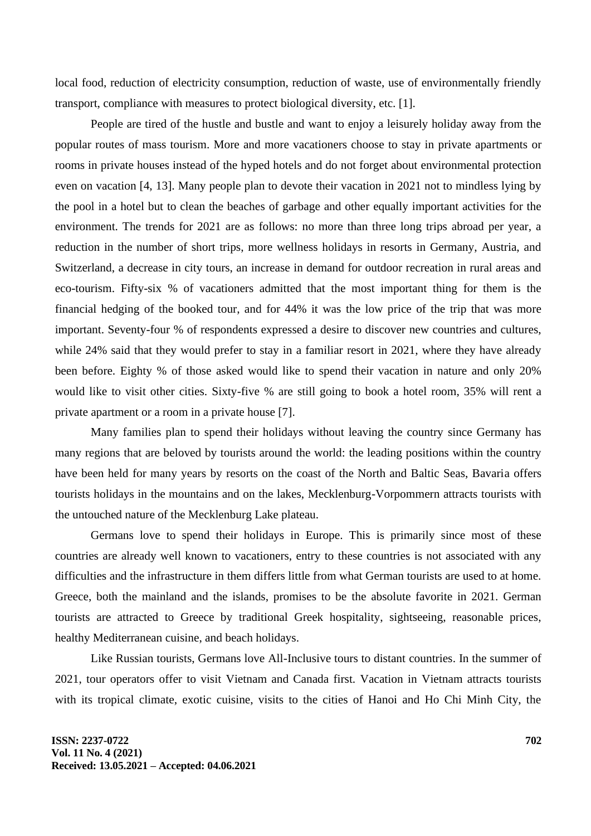local food, reduction of electricity consumption, reduction of waste, use of environmentally friendly transport, compliance with measures to protect biological diversity, etc. [1].

People are tired of the hustle and bustle and want to enjoy a leisurely holiday away from the popular routes of mass tourism. More and more vacationers choose to stay in private apartments or rooms in private houses instead of the hyped hotels and do not forget about environmental protection even on vacation [4, 13]. Many people plan to devote their vacation in 2021 not to mindless lying by the pool in a hotel but to clean the beaches of garbage and other equally important activities for the environment. The trends for 2021 are as follows: no more than three long trips abroad per year, a reduction in the number of short trips, more wellness holidays in resorts in Germany, Austria, and Switzerland, a decrease in city tours, an increase in demand for outdoor recreation in rural areas and eco-tourism. Fifty-six % of vacationers admitted that the most important thing for them is the financial hedging of the booked tour, and for 44% it was the low price of the trip that was more important. Seventy-four % of respondents expressed a desire to discover new countries and cultures, while 24% said that they would prefer to stay in a familiar resort in 2021, where they have already been before. Eighty % of those asked would like to spend their vacation in nature and only 20% would like to visit other cities. Sixty-five % are still going to book a hotel room, 35% will rent a private apartment or a room in a private house [7].

Many families plan to spend their holidays without leaving the country since Germany has many regions that are beloved by tourists around the world: the leading positions within the country have been held for many years by resorts on the coast of the North and Baltic Seas, Bavaria offers tourists holidays in the mountains and on the lakes, Mecklenburg-Vorpommern attracts tourists with the untouched nature of the Mecklenburg Lake plateau.

Germans love to spend their holidays in Europe. This is primarily since most of these countries are already well known to vacationers, entry to these countries is not associated with any difficulties and the infrastructure in them differs little from what German tourists are used to at home. Greece, both the mainland and the islands, promises to be the absolute favorite in 2021. German tourists are attracted to Greece by traditional Greek hospitality, sightseeing, reasonable prices, healthy Mediterranean cuisine, and beach holidays.

Like Russian tourists, Germans love All-Inclusive tours to distant countries. In the summer of 2021, tour operators offer to visit Vietnam and Canada first. Vacation in Vietnam attracts tourists with its tropical climate, exotic cuisine, visits to the cities of Hanoi and Ho Chi Minh City, the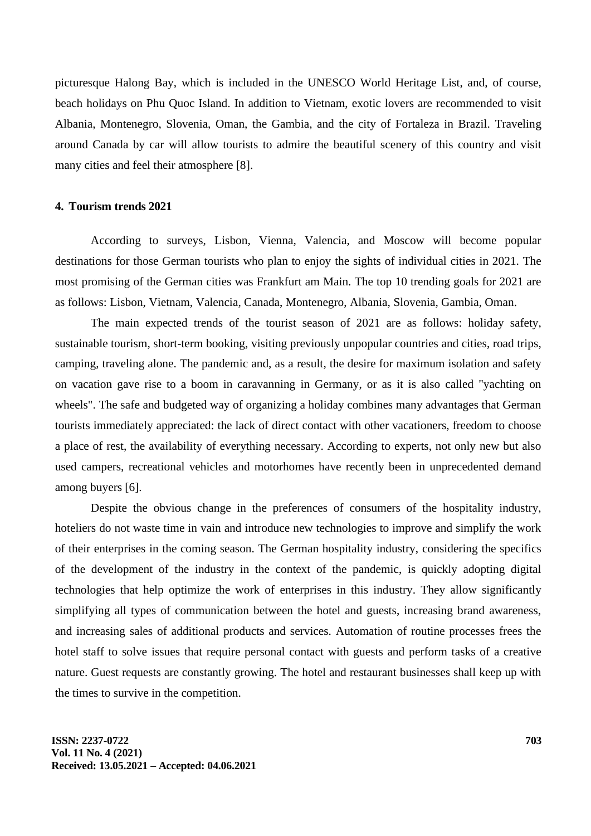picturesque Halong Bay, which is included in the UNESCO World Heritage List, and, of course, beach holidays on Phu Quoc Island. In addition to Vietnam, exotic lovers are recommended to visit Albania, Montenegro, Slovenia, Oman, the Gambia, and the city of Fortaleza in Brazil. Traveling around Canada by car will allow tourists to admire the beautiful scenery of this country and visit many cities and feel their atmosphere [8].

#### **4. Tourism trends 2021**

According to surveys, Lisbon, Vienna, Valencia, and Moscow will become popular destinations for those German tourists who plan to enjoy the sights of individual cities in 2021. The most promising of the German cities was Frankfurt am Main. The top 10 trending goals for 2021 are as follows: Lisbon, Vietnam, Valencia, Canada, Montenegro, Albania, Slovenia, Gambia, Oman.

The main expected trends of the tourist season of 2021 are as follows: holiday safety, sustainable tourism, short-term booking, visiting previously unpopular countries and cities, road trips, camping, traveling alone. The pandemic and, as a result, the desire for maximum isolation and safety on vacation gave rise to a boom in caravanning in Germany, or as it is also called "yachting on wheels". The safe and budgeted way of organizing a holiday combines many advantages that German tourists immediately appreciated: the lack of direct contact with other vacationers, freedom to choose a place of rest, the availability of everything necessary. According to experts, not only new but also used campers, recreational vehicles and motorhomes have recently been in unprecedented demand among buyers [6].

Despite the obvious change in the preferences of consumers of the hospitality industry, hoteliers do not waste time in vain and introduce new technologies to improve and simplify the work of their enterprises in the coming season. The German hospitality industry, considering the specifics of the development of the industry in the context of the pandemic, is quickly adopting digital technologies that help optimize the work of enterprises in this industry. They allow significantly simplifying all types of communication between the hotel and guests, increasing brand awareness, and increasing sales of additional products and services. Automation of routine processes frees the hotel staff to solve issues that require personal contact with guests and perform tasks of a creative nature. Guest requests are constantly growing. The hotel and restaurant businesses shall keep up with the times to survive in the competition.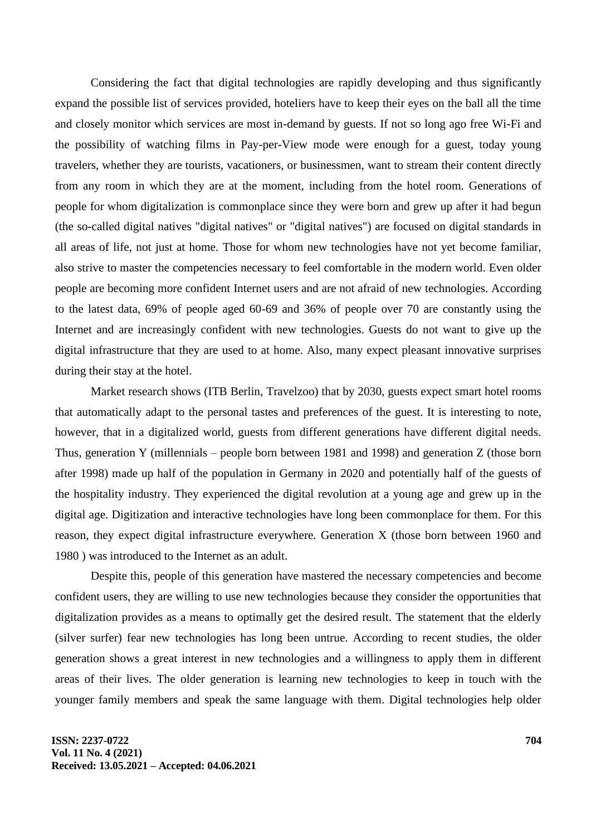Considering the fact that digital technologies are rapidly developing and thus significantly expand the possible list of services provided, hoteliers have to keep their eyes on the ball all the time and closely monitor which services are most in-demand by guests. If not so long ago free Wi-Fi and the possibility of watching films in Pay-per-View mode were enough for a guest, today young travelers, whether they are tourists, vacationers, or businessmen, want to stream their content directly from any room in which they are at the moment, including from the hotel room. Generations of people for whom digitalization is commonplace since they were born and grew up after it had begun (the so-called digital natives "digital natives" or "digital natives") are focused on digital standards in all areas of life, not just at home. Those for whom new technologies have not yet become familiar, also strive to master the competencies necessary to feel comfortable in the modern world. Even older people are becoming more confident Internet users and are not afraid of new technologies. According to the latest data, 69% of people aged 60-69 and 36% of people over 70 are constantly using the Internet and are increasingly confident with new technologies. Guests do not want to give up the digital infrastructure that they are used to at home. Also, many expect pleasant innovative surprises during their stay at the hotel.

Market research shows (ITB Berlin, Travelzoo) that by 2030, guests expect smart hotel rooms that automatically adapt to the personal tastes and preferences of the guest. It is interesting to note, however, that in a digitalized world, guests from different generations have different digital needs. Thus, generation Y (millennials – people born between 1981 and 1998) and generation Z (those born after 1998) made up half of the population in Germany in 2020 and potentially half of the guests of the hospitality industry. They experienced the digital revolution at a young age and grew up in the digital age. Digitization and interactive technologies have long been commonplace for them. For this reason, they expect digital infrastructure everywhere. Generation X (those born between 1960 and 1980 ) was introduced to the Internet as an adult.

Despite this, people of this generation have mastered the necessary competencies and become confident users, they are willing to use new technologies because they consider the opportunities that digitalization provides as a means to optimally get the desired result. The statement that the elderly (silver surfer) fear new technologies has long been untrue. According to recent studies, the older generation shows a great interest in new technologies and a willingness to apply them in different areas of their lives. The older generation is learning new technologies to keep in touch with the younger family members and speak the same language with them. Digital technologies help older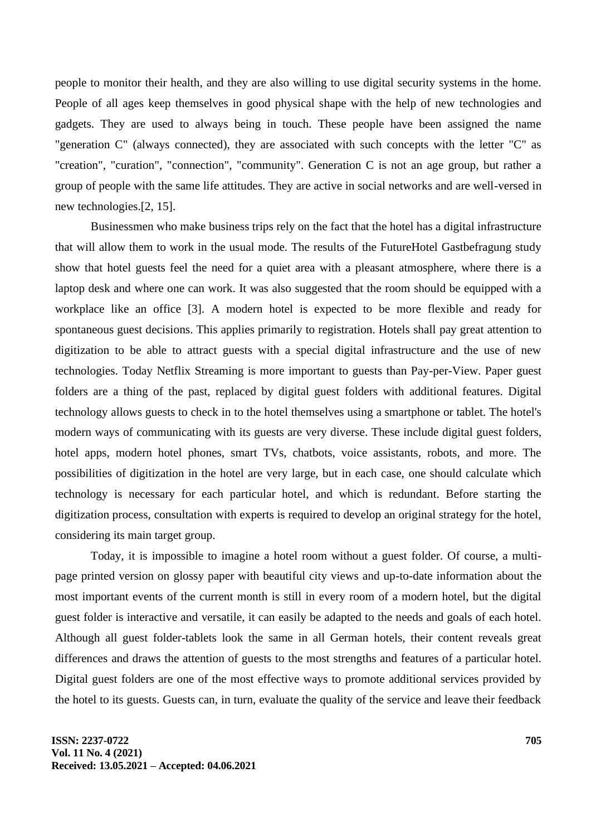people to monitor their health, and they are also willing to use digital security systems in the home. People of all ages keep themselves in good physical shape with the help of new technologies and gadgets. They are used to always being in touch. These people have been assigned the name "generation C" (always connected), they are associated with such concepts with the letter "C" as "creation", "curation", "connection", "community". Generation C is not an age group, but rather a group of people with the same life attitudes. They are active in social networks and are well-versed in new technologies.[2, 15].

Businessmen who make business trips rely on the fact that the hotel has a digital infrastructure that will allow them to work in the usual mode. The results of the FutureHotel Gastbefragung study show that hotel guests feel the need for a quiet area with a pleasant atmosphere, where there is a laptop desk and where one can work. It was also suggested that the room should be equipped with a workplace like an office [3]. A modern hotel is expected to be more flexible and ready for spontaneous guest decisions. This applies primarily to registration. Hotels shall pay great attention to digitization to be able to attract guests with a special digital infrastructure and the use of new technologies. Today Netflix Streaming is more important to guests than Pay-per-View. Paper guest folders are a thing of the past, replaced by digital guest folders with additional features. Digital technology allows guests to check in to the hotel themselves using a smartphone or tablet. The hotel's modern ways of communicating with its guests are very diverse. These include digital guest folders, hotel apps, modern hotel phones, smart TVs, chatbots, voice assistants, robots, and more. The possibilities of digitization in the hotel are very large, but in each case, one should calculate which technology is necessary for each particular hotel, and which is redundant. Before starting the digitization process, consultation with experts is required to develop an original strategy for the hotel, considering its main target group.

Today, it is impossible to imagine a hotel room without a guest folder. Of course, a multipage printed version on glossy paper with beautiful city views and up-to-date information about the most important events of the current month is still in every room of a modern hotel, but the digital guest folder is interactive and versatile, it can easily be adapted to the needs and goals of each hotel. Although all guest folder-tablets look the same in all German hotels, their content reveals great differences and draws the attention of guests to the most strengths and features of a particular hotel. Digital guest folders are one of the most effective ways to promote additional services provided by the hotel to its guests. Guests can, in turn, evaluate the quality of the service and leave their feedback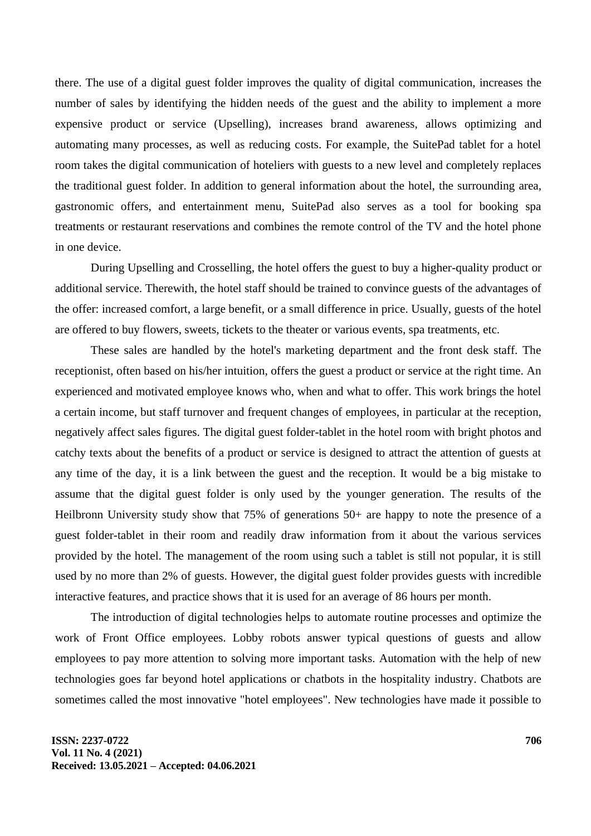there. The use of a digital guest folder improves the quality of digital communication, increases the number of sales by identifying the hidden needs of the guest and the ability to implement a more expensive product or service (Upselling), increases brand awareness, allows optimizing and automating many processes, as well as reducing costs. For example, the SuitePad tablet for a hotel room takes the digital communication of hoteliers with guests to a new level and completely replaces the traditional guest folder. In addition to general information about the hotel, the surrounding area, gastronomic offers, and entertainment menu, SuitePad also serves as a tool for booking spa treatments or restaurant reservations and combines the remote control of the TV and the hotel phone in one device.

During Upselling and Crosselling, the hotel offers the guest to buy a higher-quality product or additional service. Therewith, the hotel staff should be trained to convince guests of the advantages of the offer: increased comfort, a large benefit, or a small difference in price. Usually, guests of the hotel are offered to buy flowers, sweets, tickets to the theater or various events, spa treatments, etc.

These sales are handled by the hotel's marketing department and the front desk staff. The receptionist, often based on his/her intuition, offers the guest a product or service at the right time. An experienced and motivated employee knows who, when and what to offer. This work brings the hotel a certain income, but staff turnover and frequent changes of employees, in particular at the reception, negatively affect sales figures. The digital guest folder-tablet in the hotel room with bright photos and catchy texts about the benefits of a product or service is designed to attract the attention of guests at any time of the day, it is a link between the guest and the reception. It would be a big mistake to assume that the digital guest folder is only used by the younger generation. The results of the Heilbronn University study show that 75% of generations 50+ are happy to note the presence of a guest folder-tablet in their room and readily draw information from it about the various services provided by the hotel. The management of the room using such a tablet is still not popular, it is still used by no more than 2% of guests. However, the digital guest folder provides guests with incredible interactive features, and practice shows that it is used for an average of 86 hours per month.

The introduction of digital technologies helps to automate routine processes and optimize the work of Front Office employees. Lobby robots answer typical questions of guests and allow employees to pay more attention to solving more important tasks. Automation with the help of new technologies goes far beyond hotel applications or chatbots in the hospitality industry. Chatbots are sometimes called the most innovative "hotel employees". New technologies have made it possible to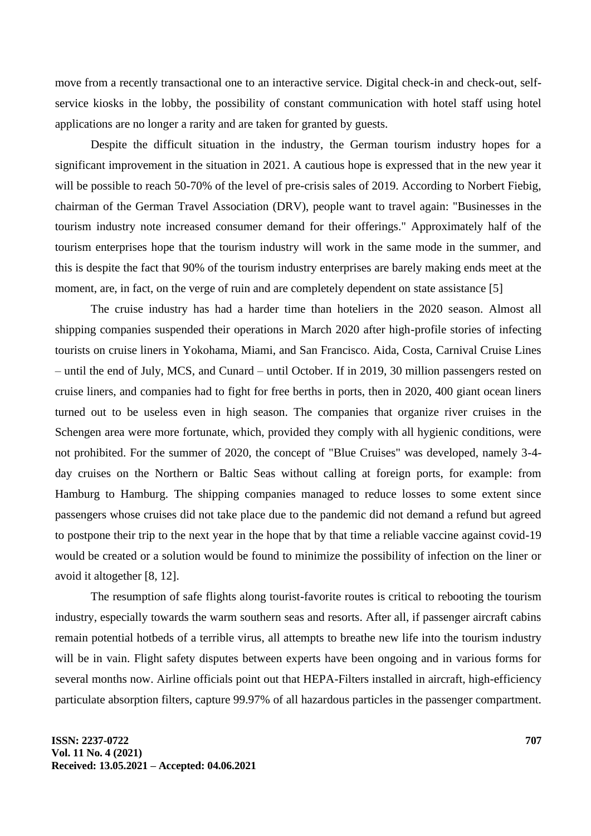move from a recently transactional one to an interactive service. Digital check-in and check-out, selfservice kiosks in the lobby, the possibility of constant communication with hotel staff using hotel applications are no longer a rarity and are taken for granted by guests.

Despite the difficult situation in the industry, the German tourism industry hopes for a significant improvement in the situation in 2021. A cautious hope is expressed that in the new year it will be possible to reach 50-70% of the level of pre-crisis sales of 2019. According to Norbert Fiebig, chairman of the German Travel Association (DRV), people want to travel again: "Businesses in the tourism industry note increased consumer demand for their offerings." Approximately half of the tourism enterprises hope that the tourism industry will work in the same mode in the summer, and this is despite the fact that 90% of the tourism industry enterprises are barely making ends meet at the moment, are, in fact, on the verge of ruin and are completely dependent on state assistance [5]

The cruise industry has had a harder time than hoteliers in the 2020 season. Almost all shipping companies suspended their operations in March 2020 after high-profile stories of infecting tourists on cruise liners in Yokohama, Miami, and San Francisco. Aida, Costa, Carnival Cruise Lines – until the end of July, MCS, and Cunard – until October. If in 2019, 30 million passengers rested on cruise liners, and companies had to fight for free berths in ports, then in 2020, 400 giant ocean liners turned out to be useless even in high season. The companies that organize river cruises in the Schengen area were more fortunate, which, provided they comply with all hygienic conditions, were not prohibited. For the summer of 2020, the concept of "Blue Cruises" was developed, namely 3-4 day cruises on the Northern or Baltic Seas without calling at foreign ports, for example: from Hamburg to Hamburg. The shipping companies managed to reduce losses to some extent since passengers whose cruises did not take place due to the pandemic did not demand a refund but agreed to postpone their trip to the next year in the hope that by that time a reliable vaccine against covid-19 would be created or a solution would be found to minimize the possibility of infection on the liner or avoid it altogether [8, 12].

The resumption of safe flights along tourist-favorite routes is critical to rebooting the tourism industry, especially towards the warm southern seas and resorts. After all, if passenger aircraft cabins remain potential hotbeds of a terrible virus, all attempts to breathe new life into the tourism industry will be in vain. Flight safety disputes between experts have been ongoing and in various forms for several months now. Airline officials point out that HEPA-Filters installed in aircraft, high-efficiency particulate absorption filters, capture 99.97% of all hazardous particles in the passenger compartment.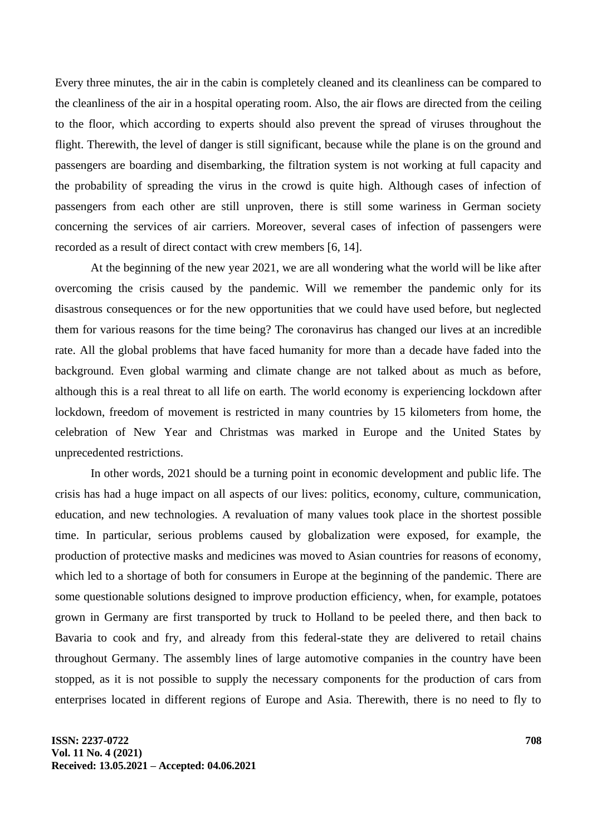Every three minutes, the air in the cabin is completely cleaned and its cleanliness can be compared to the cleanliness of the air in a hospital operating room. Also, the air flows are directed from the ceiling to the floor, which according to experts should also prevent the spread of viruses throughout the flight. Therewith, the level of danger is still significant, because while the plane is on the ground and passengers are boarding and disembarking, the filtration system is not working at full capacity and the probability of spreading the virus in the crowd is quite high. Although cases of infection of passengers from each other are still unproven, there is still some wariness in German society concerning the services of air carriers. Moreover, several cases of infection of passengers were recorded as a result of direct contact with crew members [6, 14].

At the beginning of the new year 2021, we are all wondering what the world will be like after overcoming the crisis caused by the pandemic. Will we remember the pandemic only for its disastrous consequences or for the new opportunities that we could have used before, but neglected them for various reasons for the time being? The coronavirus has changed our lives at an incredible rate. All the global problems that have faced humanity for more than a decade have faded into the background. Even global warming and climate change are not talked about as much as before, although this is a real threat to all life on earth. The world economy is experiencing lockdown after lockdown, freedom of movement is restricted in many countries by 15 kilometers from home, the celebration of New Year and Christmas was marked in Europe and the United States by unprecedented restrictions.

In other words, 2021 should be a turning point in economic development and public life. The crisis has had a huge impact on all aspects of our lives: politics, economy, culture, communication, education, and new technologies. A revaluation of many values took place in the shortest possible time. In particular, serious problems caused by globalization were exposed, for example, the production of protective masks and medicines was moved to Asian countries for reasons of economy, which led to a shortage of both for consumers in Europe at the beginning of the pandemic. There are some questionable solutions designed to improve production efficiency, when, for example, potatoes grown in Germany are first transported by truck to Holland to be peeled there, and then back to Bavaria to cook and fry, and already from this federal-state they are delivered to retail chains throughout Germany. The assembly lines of large automotive companies in the country have been stopped, as it is not possible to supply the necessary components for the production of cars from enterprises located in different regions of Europe and Asia. Therewith, there is no need to fly to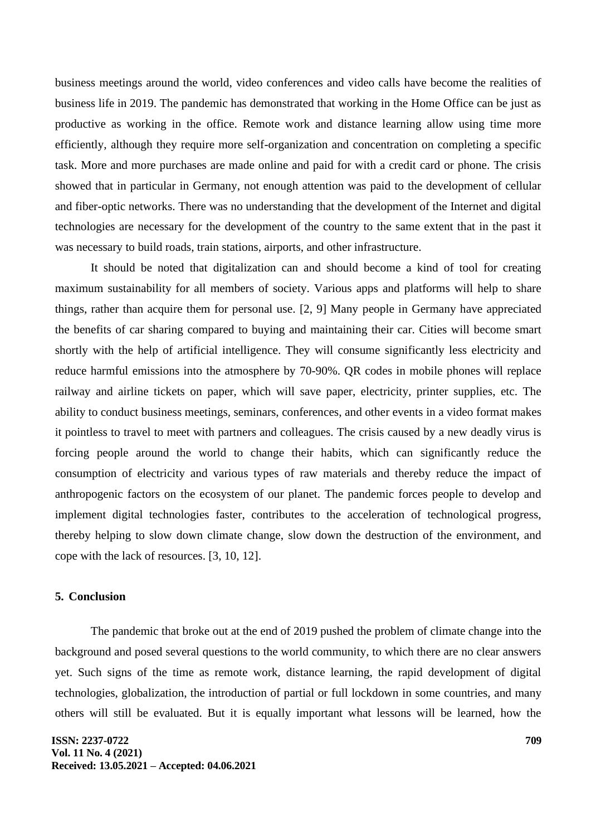business meetings around the world, video conferences and video calls have become the realities of business life in 2019. The pandemic has demonstrated that working in the Home Office can be just as productive as working in the office. Remote work and distance learning allow using time more efficiently, although they require more self-organization and concentration on completing a specific task. More and more purchases are made online and paid for with a credit card or phone. The crisis showed that in particular in Germany, not enough attention was paid to the development of cellular and fiber-optic networks. There was no understanding that the development of the Internet and digital technologies are necessary for the development of the country to the same extent that in the past it was necessary to build roads, train stations, airports, and other infrastructure.

It should be noted that digitalization can and should become a kind of tool for creating maximum sustainability for all members of society. Various apps and platforms will help to share things, rather than acquire them for personal use. [2, 9] Many people in Germany have appreciated the benefits of car sharing compared to buying and maintaining their car. Cities will become smart shortly with the help of artificial intelligence. They will consume significantly less electricity and reduce harmful emissions into the atmosphere by 70-90%. QR codes in mobile phones will replace railway and airline tickets on paper, which will save paper, electricity, printer supplies, etc. The ability to conduct business meetings, seminars, conferences, and other events in a video format makes it pointless to travel to meet with partners and colleagues. The crisis caused by a new deadly virus is forcing people around the world to change their habits, which can significantly reduce the consumption of electricity and various types of raw materials and thereby reduce the impact of anthropogenic factors on the ecosystem of our planet. The pandemic forces people to develop and implement digital technologies faster, contributes to the acceleration of technological progress, thereby helping to slow down climate change, slow down the destruction of the environment, and cope with the lack of resources. [3, 10, 12].

#### **5. Conclusion**

The pandemic that broke out at the end of 2019 pushed the problem of climate change into the background and posed several questions to the world community, to which there are no clear answers yet. Such signs of the time as remote work, distance learning, the rapid development of digital technologies, globalization, the introduction of partial or full lockdown in some countries, and many others will still be evaluated. But it is equally important what lessons will be learned, how the